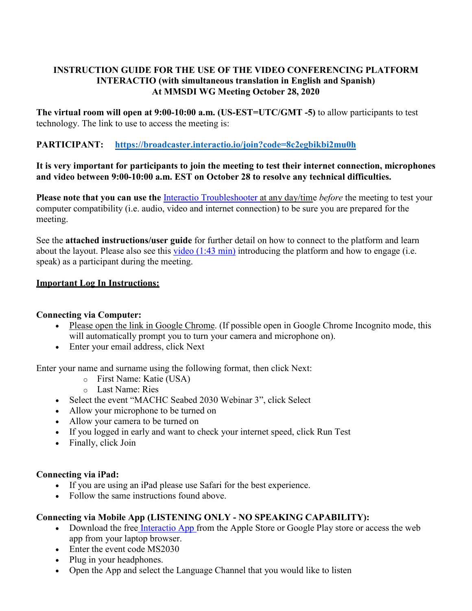## **INSTRUCTION GUIDE FOR THE USE OF THE VIDEO CONFERENCING PLATFORM INTERACTIO (with simultaneous translation in English and Spanish) At MMSDI WG Meeting October 28, 2020**

**The virtual room will open at 9:00-10:00 a.m. (US-EST=UTC/GMT -5)** to allow participants to test technology. The link to use to access the meeting is:

# **PARTICIPANT: <https://broadcaster.interactio.io/join?code=8c2egbikbi2mu0h>**

## **It is very important for participants to join the meeting to test their internet connection, microphones and video between 9:00-10:00 a.m. EST on October 28 to resolve any technical difficulties.**

**Please note that you can use the** [Interactio Troubleshooter a](https://troubleshooter.interactio.io/)t any day/time *before* the meeting to test your computer compatibility (i.e. audio, video and internet connection) to be sure you are prepared for the meeting.

See the **attached instructions/user guide** for further detail on how to connect to the platform and learn about the layout. Please also see this [video \(1:43 min\)](https://drive.google.com/file/d/1e8ktaQOK7XXbEuYCfIwvFeCX13NGWp4D/view) introducing the platform and how to engage (i.e. speak) as a participant during the meeting.

### **Important Log In Instructions:**

## **Connecting via Computer:**

- Please open the link in Google Chrome. (If possible open in Google Chrome Incognito mode, this will automatically prompt you to turn your camera and microphone on).
- Enter your email address, click Next

Enter your name and surname using the following format, then click Next:

- o First Name: Katie (USA)
- o Last Name: Ries
- Select the event "MACHC Seabed 2030 Webinar 3", click Select
- Allow your microphone to be turned on
- Allow your camera to be turned on
- If you logged in early and want to check your internet speed, click Run Test
- Finally, click Join

#### **Connecting via iPad:**

- If you are using an iPad please use Safari for the best experience.
- Follow the same instructions found above.

## **Connecting via Mobile App (LISTENING ONLY - NO SPEAKING CAPABILITY):**

- Download the free [Interactio App f](https://app.interactio.io/)rom the Apple Store or Google Play store or access the web app from your laptop browser.
- Enter the event code MS2030
- Plug in your headphones.
- Open the App and select the Language Channel that you would like to listen